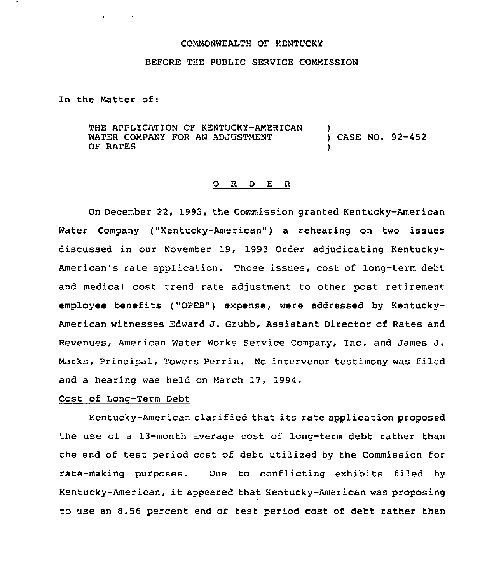#### COMMONWEALTH OF KENTUCKY

### BEFORE THE PUBLIC SERVICE COMMISSION

In the Matter of:

THE APPLICATION OF KENTUCKY-AMERICAN WATER COMPANY FOR AN ADJUSTMENT OF RATES ) ) CASE NO. 92-452 )

#### O R D E R

On December 22, 1993, the Commission granted Kentucky-American Water Company ("Kentucky-American") a rehearing on two issues discussed in our November 19, 1993 Order adjudicating Kentucky-American's rate application. Those issues, cost of long-term debt and medical cost trend rate adjustment to other post retirement employee benefits ("OPEB") expense, were addressed by Kentucky-American witnesses Edward J. Grubb, Assistant Director of Rates and Revenues, American Water Works Service Company, Inc. and James J. Marks, Principal, Towers Perrin. No intervenor testimony was filed and a hearing was held on March 17, 1994.

### Cost of Lonq-Term Debt

Kentucky-American clarified that its rate application proposed the use of a 13-month average cost of long-term debt rather than the end of test period cost of debt utilized by the Commission for rate-making purposes. Due to conflicting exhibits filed by Kentucky-American, it appeared that Kentucky-American was proposing to use an 8.56 percent end of test period cost of debt rather than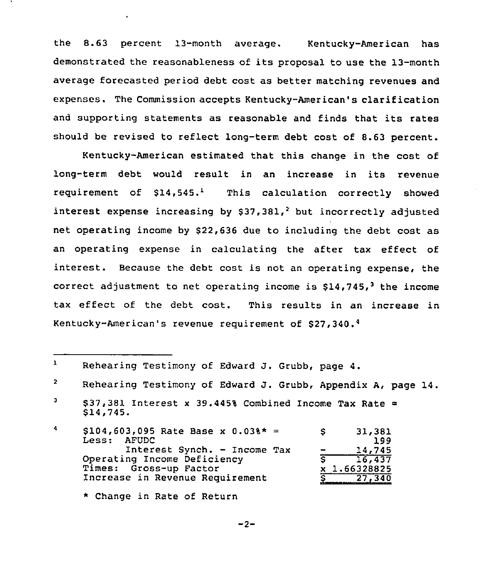the 8.63 percent 13-month average. Kentucky-American has demonstrated the reasonableness of its proposal to use the 13-month average forecasted period debt cost as better matching revenues and expenses. The Commission accepts Kentucky-American's clarification and supporting statements as reasonable and finds that its rates should be revised to reflect long-term debt cost of 8.63 percent.

Kentucky-American estimated that this change in the cost of long-term debt would result in an increase in its revenue requirement of  $$14,545.^1$  This calculation correctly showed interest expense increasing by  $$37,381,<sup>2</sup>$  but incorrectly adjusted net operating income by \$22,636 due to including the debt cost as an operating expense in calculating the after tax effect of interest. Because the debt cost is not an operating expense, the correct adjustment to net operating income is  $$14,745$ , the income tax effect of the debt cost. This results in an increase in Kentucky-American's revenue requirement of \$

- $\blacktriangleleft$ \$ 104,603,095 Rate Base x 0.03%\* \$ 31,381 AFUDC 199 Interest Synch. — Income Tax 14,745  $\overline{\phantom{0}}$ Operating Income Deficiency  $\sqrt{5}$  16,437 Times: Gross-up Factor x 1.66328825 Increase in Revenue Requirement 27,340
	- \* Change in Rate of Return

 $\mathbf{1}$ Rehearing Testimony of Edward J. Grubb, page 4.

 $\mathbf{2}$ Rehearing Testimony of Edward J. Grubb, Appendix A, page 14.

 $\mathbf{J}$ \$37,381 Interest x 39.445% Combined Income Tax Rate  $=$ \$ 14,745.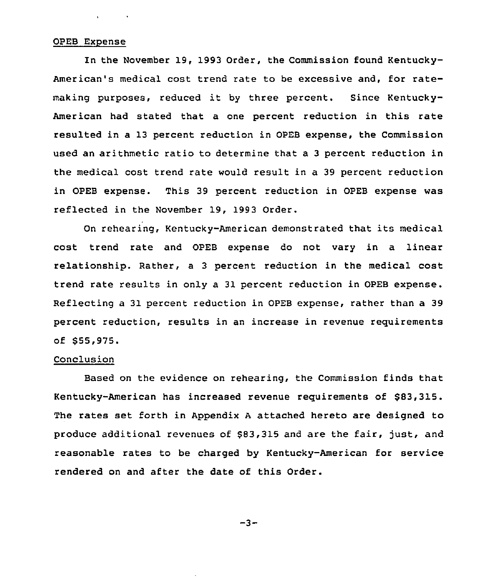#### OPEB Expense

In the November 19, 1993 Order, the Commission found Kentucky-American's medical cost trend rate to be excessive and, for ratemaking purposes, reduced it by three percent. Since Kentucky-American had stated that a one percent reduction in this rate resulted in a 13 percent reduction in OPEB expense, the Commission used an arithmetic ratio to determine that a 3 percent reduction in the medical cost trend rate would result in a 39 percent reduction in OPEB expense. This 39 percent reduction in OPEB expense was reflected in the November 19, 1993 Order.

On rehearing, Kentucky-American demonstrated that its medical cost trend rate and OPEB expense do not vary in a linear relationship. Rather, a 3 percent reduction in the medical cost trend rate results in only a 31 percent reduction in OPEB expense. Reflecting a 31 percent reduction in OPEB expense, rather than a 39 percent reduction, results in an increase in revenue requirements of \$ 55,975.

#### Conclusion

Based on the evidence on rehearing, the Commission finds that Kentucky-American has increased revenue requirements of \$83,315. The rates set forth in Appendix <sup>A</sup> attached hereto are designed to produce additional revenues of 883,315 and are the fair, just, and reasonable rates to be charged by Kentucky-American for service rendered on and after the date of this Order.

 $-3-$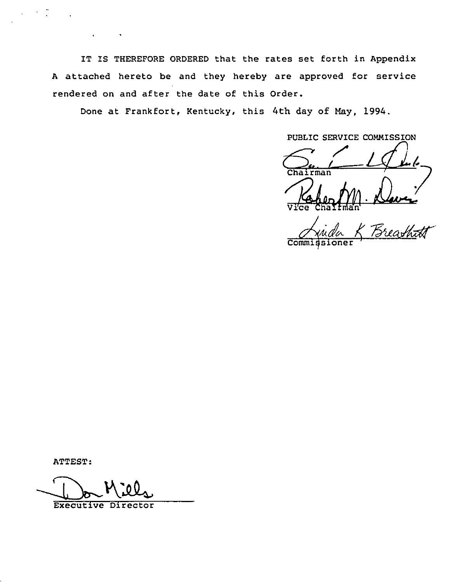IT IS THEREFORE ORDERED that the rates set forth in Appendix A attached hereto be and they hereby are approved for service rendered on and after the date of this Order.

Done at Frankfort, Kentucky, this 4th day of May, 1994.

PUBLIC SERVICE COMMISSION

Chairman

.<br>\* Breashtt  $\overline{\text{Comm}}$ 

ATTEST:

 $\sim 100$  km  $^{-1}$ 

**Executive Director**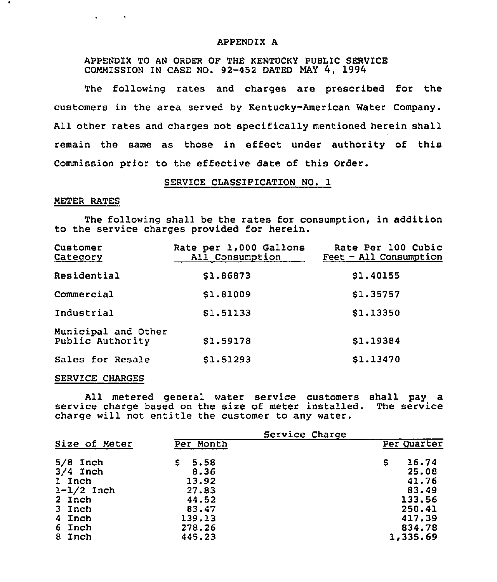### APPENDIX A

APPENDIX TO AN ORDER OF THE KENTUCKY PUBLIC SERVICE COMMISSION IN CASE NO. 92-452 DATED NAY 4, 1994

The following rates and charges are prescribed for the customers in the area served by Kentucky-American Water Company. All other rates and charges not specifically mentioned herein shall remain the same as those in effect under authority of this Commission prior to the effective date of this Order.

### SERVICE CLASS1FICATION NO. 1

### METER RATES

**All Contracts** 

The following shall be the rates for consumption, in addition to the service charges provided for herein.

| Customer<br>Category                    | Rate per 1,000 Gallons<br>All Consumption | Rate Per 100 Cubic<br>Feet - All Consumption |
|-----------------------------------------|-------------------------------------------|----------------------------------------------|
| Residential                             | \$1.86873                                 | \$1,40155                                    |
| Commercial                              | \$1.81009                                 | \$1.35757                                    |
| Industrial                              | \$1,51133                                 | \$1.13350                                    |
| Municipal and Other<br>Public Authority | \$1.59178                                 | \$1.19384                                    |
| Sales for Resale                        | \$1.51293                                 | \$1.13470                                    |

#### SERVICE CHARGES

All metered general water service customers shall pay a service charge based on the size of meter installed. The service charge will not entitle the customer to any water.

|                                                                                            | Service Charge                                                             |                                                                               |  |
|--------------------------------------------------------------------------------------------|----------------------------------------------------------------------------|-------------------------------------------------------------------------------|--|
| Size of Meter                                                                              | Per Month                                                                  | Per Quarter                                                                   |  |
| $5/8$ Inch<br>$3/4$ Inch<br>1 Inch<br>$1-1/2$ Inch<br>2 Inch<br>3 Inch<br>4 Inch<br>6 Inch | 5.58<br>S.<br>8.36<br>13.92<br>27.83<br>44.52<br>83.47<br>139,13<br>278.26 | 16.74<br>s<br>25.08<br>41.76<br>83.49<br>133.56<br>250.41<br>417.39<br>834.78 |  |
| 8 Inch                                                                                     | 445.23                                                                     | 1,335.69                                                                      |  |